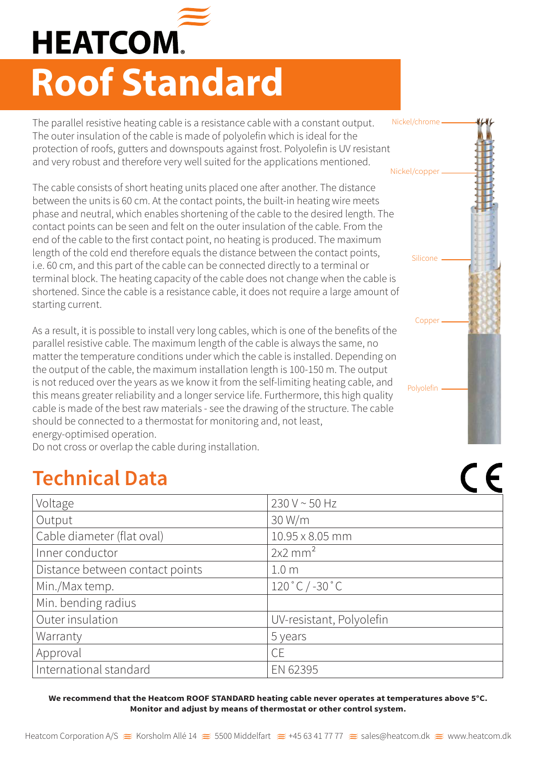

## **Roof Standard**

The parallel resistive heating cable is a resistance cable with a constant output. The outer insulation of the cable is made of polyolefin which is ideal for the protection of roofs, gutters and downspouts against frost. Polyolefin is UV resistant and very robust and therefore very well suited for the applications mentioned. Nickel/chrome

The cable consists of short heating units placed one after another. The distance between the units is 60 cm. At the contact points, the built-in heating wire meets phase and neutral, which enables shortening of the cable to the desired length. The contact points can be seen and felt on the outer insulation of the cable. From the end of the cable to the first contact point, no heating is produced. The maximum length of the cold end therefore equals the distance between the contact points, i.e. 60 cm, and this part of the cable can be connected directly to a terminal or terminal block. The heating capacity of the cable does not change when the cable is shortened. Since the cable is a resistance cable, it does not require a large amount of starting current.

As a result, it is possible to install very long cables, which is one of the benefits of the parallel resistive cable. The maximum length of the cable is always the same, no matter the temperature conditions under which the cable is installed. Depending on the output of the cable, the maximum installation length is 100-150 m. The output is not reduced over the years as we know it from the self-limiting heating cable, and this means greater reliability and a longer service life. Furthermore, this high quality cable is made of the best raw materials - see the drawing of the structure. The cable should be connected to a thermostat for monitoring and, not least, energy-optimised operation.

Do not cross or overlap the cable during installation.

## **Technical Data**

| Voltage                         | 230 V ~ 50 Hz                     |
|---------------------------------|-----------------------------------|
| Output                          | 30 W/m                            |
| Cable diameter (flat oval)      | 10.95 x 8.05 mm                   |
| Inner conductor                 | $2x2$ mm <sup>2</sup>             |
| Distance between contact points | 1.0 <sub>m</sub>                  |
| Min./Max temp.                  | $120 \degree C$ / -30 $\degree C$ |
| Min. bending radius             |                                   |
| Outer insulation                | UV-resistant, Polyolefin          |
| Warranty                        | 5 years                           |
| Approval                        | <b>CE</b>                         |
| International standard          | EN 62395                          |

**We recommend that the Heatcom ROOF STANDARD heating cable never operates at temperatures above 5°C. Monitor and adjust by means of thermostat or other control system.**



 $\epsilon$